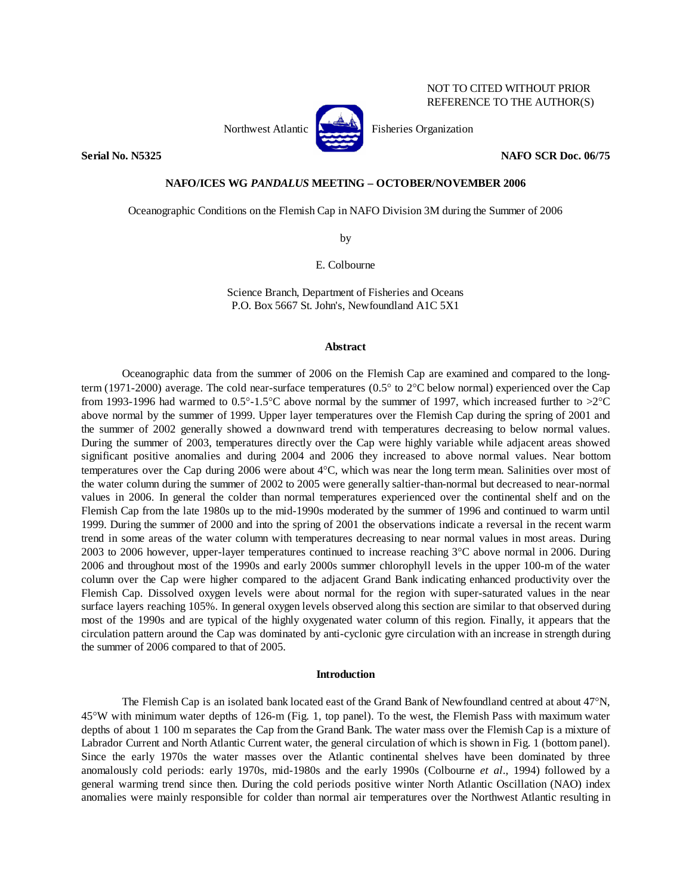

Northwest Atlantic **Atlantic** Fisheries Organization

**Serial No. N5325 NAFO SCR Doc. 06/75** 

# **NAFO/ICES WG** *PANDALUS* **MEETING – OCTOBER/NOVEMBER 2006**

Oceanographic Conditions on the Flemish Cap in NAFO Division 3M during the Summer of 2006

by

E. Colbourne

Science Branch, Department of Fisheries and Oceans P.O. Box 5667 St. John's, Newfoundland A1C 5X1

# **Abstract**

 Oceanographic data from the summer of 2006 on the Flemish Cap are examined and compared to the longterm (1971-2000) average. The cold near-surface temperatures (0.5° to 2°C below normal) experienced over the Cap from 1993-1996 had warmed to 0.5°-1.5°C above normal by the summer of 1997, which increased further to >2°C above normal by the summer of 1999. Upper layer temperatures over the Flemish Cap during the spring of 2001 and the summer of 2002 generally showed a downward trend with temperatures decreasing to below normal values. During the summer of 2003, temperatures directly over the Cap were highly variable while adjacent areas showed significant positive anomalies and during 2004 and 2006 they increased to above normal values. Near bottom temperatures over the Cap during 2006 were about 4°C, which was near the long term mean. Salinities over most of the water column during the summer of 2002 to 2005 were generally saltier-than-normal but decreased to near-normal values in 2006. In general the colder than normal temperatures experienced over the continental shelf and on the Flemish Cap from the late 1980s up to the mid-1990s moderated by the summer of 1996 and continued to warm until 1999. During the summer of 2000 and into the spring of 2001 the observations indicate a reversal in the recent warm trend in some areas of the water column with temperatures decreasing to near normal values in most areas. During 2003 to 2006 however, upper-layer temperatures continued to increase reaching 3°C above normal in 2006. During 2006 and throughout most of the 1990s and early 2000s summer chlorophyll levels in the upper 100-m of the water column over the Cap were higher compared to the adjacent Grand Bank indicating enhanced productivity over the Flemish Cap. Dissolved oxygen levels were about normal for the region with super-saturated values in the near surface layers reaching 105%. In general oxygen levels observed along this section are similar to that observed during most of the 1990s and are typical of the highly oxygenated water column of this region. Finally, it appears that the circulation pattern around the Cap was dominated by anti-cyclonic gyre circulation with an increase in strength during the summer of 2006 compared to that of 2005.

# **Introduction**

 The Flemish Cap is an isolated bank located east of the Grand Bank of Newfoundland centred at about 47°N, 45°W with minimum water depths of 126-m (Fig. 1, top panel). To the west, the Flemish Pass with maximum water depths of about 1 100 m separates the Cap from the Grand Bank. The water mass over the Flemish Cap is a mixture of Labrador Current and North Atlantic Current water, the general circulation of which is shown in Fig. 1 (bottom panel). Since the early 1970s the water masses over the Atlantic continental shelves have been dominated by three anomalously cold periods: early 1970s, mid-1980s and the early 1990s (Colbourne *et al*., 1994) followed by a general warming trend since then. During the cold periods positive winter North Atlantic Oscillation (NAO) index anomalies were mainly responsible for colder than normal air temperatures over the Northwest Atlantic resulting in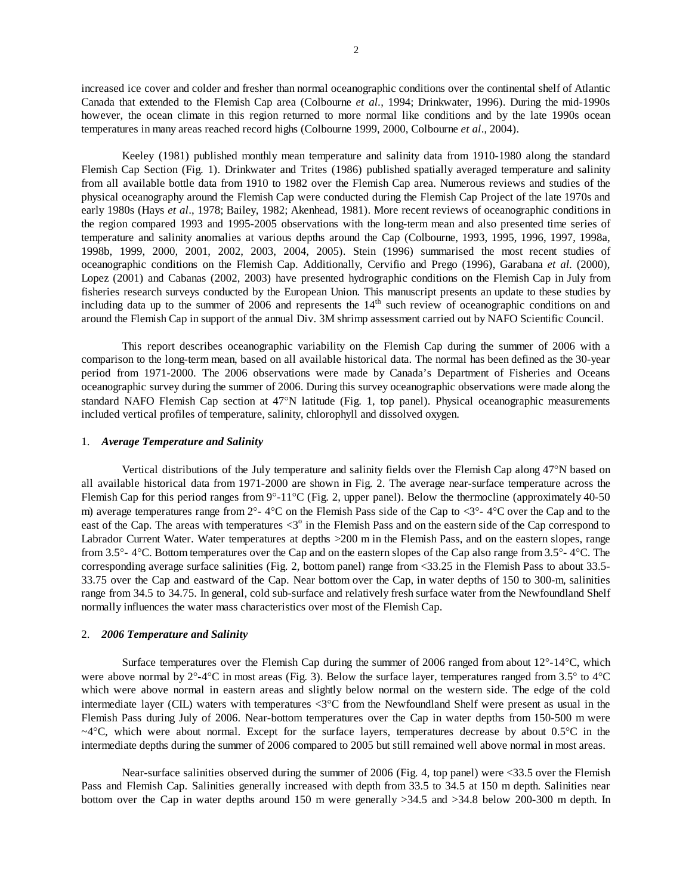increased ice cover and colder and fresher than normal oceanographic conditions over the continental shelf of Atlantic Canada that extended to the Flemish Cap area (Colbourne *et al.*, 1994; Drinkwater, 1996). During the mid-1990s however, the ocean climate in this region returned to more normal like conditions and by the late 1990s ocean temperatures in many areas reached record highs (Colbourne 1999, 2000, Colbourne *et al*., 2004).

 Keeley (1981) published monthly mean temperature and salinity data from 1910-1980 along the standard Flemish Cap Section (Fig. 1). Drinkwater and Trites (1986) published spatially averaged temperature and salinity from all available bottle data from 1910 to 1982 over the Flemish Cap area. Numerous reviews and studies of the physical oceanography around the Flemish Cap were conducted during the Flemish Cap Project of the late 1970s and early 1980s (Hays *et al*., 1978; Bailey, 1982; Akenhead, 1981). More recent reviews of oceanographic conditions in the region compared 1993 and 1995-2005 observations with the long-term mean and also presented time series of temperature and salinity anomalies at various depths around the Cap (Colbourne, 1993, 1995, 1996, 1997, 1998a, 1998b, 1999, 2000, 2001, 2002, 2003, 2004, 2005). Stein (1996) summarised the most recent studies of oceanographic conditions on the Flemish Cap. Additionally, Cervifio and Prego (1996), Garabana *et al.* (2000), Lopez (2001) and Cabanas (2002, 2003) have presented hydrographic conditions on the Flemish Cap in July from fisheries research surveys conducted by the European Union. This manuscript presents an update to these studies by including data up to the summer of 2006 and represents the 14<sup>th</sup> such review of oceanographic conditions on and around the Flemish Cap in support of the annual Div. 3M shrimp assessment carried out by NAFO Scientific Council.

 This report describes oceanographic variability on the Flemish Cap during the summer of 2006 with a comparison to the long-term mean, based on all available historical data. The normal has been defined as the 30-year period from 1971-2000. The 2006 observations were made by Canada's Department of Fisheries and Oceans oceanographic survey during the summer of 2006. During this survey oceanographic observations were made along the standard NAFO Flemish Cap section at 47°N latitude (Fig. 1, top panel). Physical oceanographic measurements included vertical profiles of temperature, salinity, chlorophyll and dissolved oxygen.

### 1. *Average Temperature and Salinity*

 Vertical distributions of the July temperature and salinity fields over the Flemish Cap along 47°N based on all available historical data from 1971-2000 are shown in Fig. 2. The average near-surface temperature across the Flemish Cap for this period ranges from 9°-11°C (Fig. 2, upper panel). Below the thermocline (approximately 40-50 m) average temperatures range from  $2^{\circ}$ - 4°C on the Flemish Pass side of the Cap to  $\langle 3^{\circ}$ - 4°C over the Cap and to the east of the Cap. The areas with temperatures  $\langle 3^\circ$  in the Flemish Pass and on the eastern side of the Cap correspond to Labrador Current Water. Water temperatures at depths >200 m in the Flemish Pass, and on the eastern slopes, range from 3.5°- 4°C. Bottom temperatures over the Cap and on the eastern slopes of the Cap also range from 3.5°- 4°C. The corresponding average surface salinities (Fig. 2, bottom panel) range from <33.25 in the Flemish Pass to about 33.5- 33.75 over the Cap and eastward of the Cap. Near bottom over the Cap, in water depths of 150 to 300-m, salinities range from 34.5 to 34.75. In general, cold sub-surface and relatively fresh surface water from the Newfoundland Shelf normally influences the water mass characteristics over most of the Flemish Cap.

# 2. *2006 Temperature and Salinity*

 Surface temperatures over the Flemish Cap during the summer of 2006 ranged from about 12°-14°C, which were above normal by  $2^{\circ}$ -4°C in most areas (Fig. 3). Below the surface layer, temperatures ranged from 3.5° to 4°C which were above normal in eastern areas and slightly below normal on the western side. The edge of the cold intermediate layer (CIL) waters with temperatures <3°C from the Newfoundland Shelf were present as usual in the Flemish Pass during July of 2006. Near-bottom temperatures over the Cap in water depths from 150-500 m were  $\sim$ 4 $\degree$ C, which were about normal. Except for the surface layers, temperatures decrease by about 0.5 $\degree$ C in the intermediate depths during the summer of 2006 compared to 2005 but still remained well above normal in most areas.

 Near-surface salinities observed during the summer of 2006 (Fig. 4, top panel) were <33.5 over the Flemish Pass and Flemish Cap. Salinities generally increased with depth from 33.5 to 34.5 at 150 m depth. Salinities near bottom over the Cap in water depths around 150 m were generally >34.5 and >34.8 below 200-300 m depth. In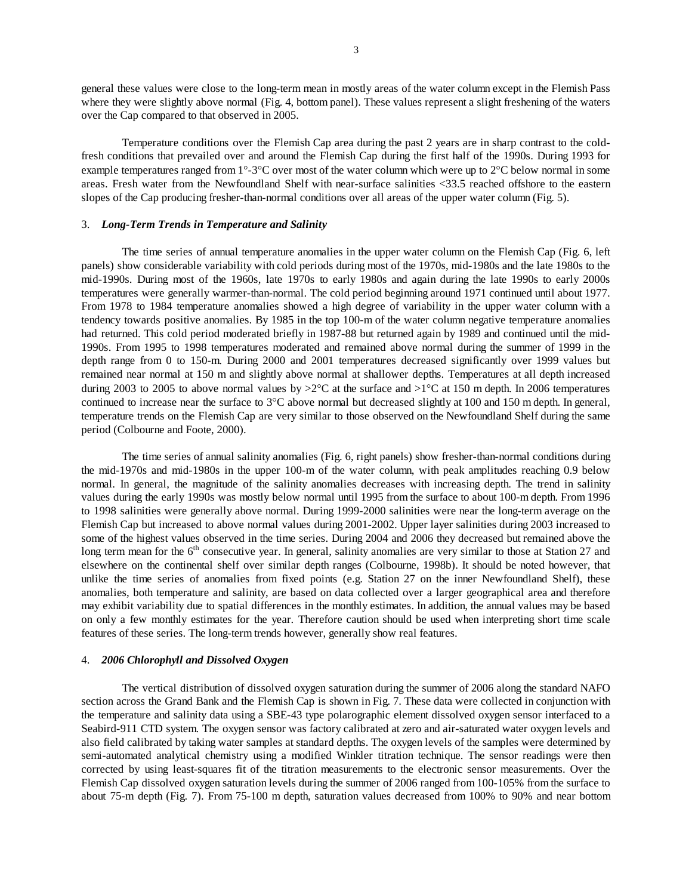general these values were close to the long-term mean in mostly areas of the water column except in the Flemish Pass where they were slightly above normal (Fig. 4, bottom panel). These values represent a slight freshening of the waters over the Cap compared to that observed in 2005.

 Temperature conditions over the Flemish Cap area during the past 2 years are in sharp contrast to the coldfresh conditions that prevailed over and around the Flemish Cap during the first half of the 1990s. During 1993 for example temperatures ranged from 1°-3°C over most of the water column which were up to 2°C below normal in some areas. Fresh water from the Newfoundland Shelf with near-surface salinities <33.5 reached offshore to the eastern slopes of the Cap producing fresher-than-normal conditions over all areas of the upper water column (Fig. 5).

# 3. *Long-Term Trends in Temperature and Salinity*

 The time series of annual temperature anomalies in the upper water column on the Flemish Cap (Fig. 6, left panels) show considerable variability with cold periods during most of the 1970s, mid-1980s and the late 1980s to the mid-1990s. During most of the 1960s, late 1970s to early 1980s and again during the late 1990s to early 2000s temperatures were generally warmer-than-normal. The cold period beginning around 1971 continued until about 1977. From 1978 to 1984 temperature anomalies showed a high degree of variability in the upper water column with a tendency towards positive anomalies. By 1985 in the top 100-m of the water column negative temperature anomalies had returned. This cold period moderated briefly in 1987-88 but returned again by 1989 and continued until the mid-1990s. From 1995 to 1998 temperatures moderated and remained above normal during the summer of 1999 in the depth range from 0 to 150-m. During 2000 and 2001 temperatures decreased significantly over 1999 values but remained near normal at 150 m and slightly above normal at shallower depths. Temperatures at all depth increased during 2003 to 2005 to above normal values by  $>2^{\circ}$ C at the surface and  $>1^{\circ}$ C at 150 m depth. In 2006 temperatures continued to increase near the surface to  $3^{\circ}$ C above normal but decreased slightly at 100 and 150 m depth. In general, temperature trends on the Flemish Cap are very similar to those observed on the Newfoundland Shelf during the same period (Colbourne and Foote, 2000).

The time series of annual salinity anomalies (Fig. 6, right panels) show fresher-than-normal conditions during the mid-1970s and mid-1980s in the upper 100-m of the water column, with peak amplitudes reaching 0.9 below normal. In general, the magnitude of the salinity anomalies decreases with increasing depth. The trend in salinity values during the early 1990s was mostly below normal until 1995 from the surface to about 100-m depth. From 1996 to 1998 salinities were generally above normal. During 1999-2000 salinities were near the long-term average on the Flemish Cap but increased to above normal values during 2001-2002. Upper layer salinities during 2003 increased to some of the highest values observed in the time series. During 2004 and 2006 they decreased but remained above the long term mean for the  $6<sup>th</sup>$  consecutive year. In general, salinity anomalies are very similar to those at Station 27 and elsewhere on the continental shelf over similar depth ranges (Colbourne, 1998b). It should be noted however, that unlike the time series of anomalies from fixed points (e.g. Station 27 on the inner Newfoundland Shelf), these anomalies, both temperature and salinity, are based on data collected over a larger geographical area and therefore may exhibit variability due to spatial differences in the monthly estimates. In addition, the annual values may be based on only a few monthly estimates for the year. Therefore caution should be used when interpreting short time scale features of these series. The long-term trends however, generally show real features.

# 4. *2006 Chlorophyll and Dissolved Oxygen*

 The vertical distribution of dissolved oxygen saturation during the summer of 2006 along the standard NAFO section across the Grand Bank and the Flemish Cap is shown in Fig. 7. These data were collected in conjunction with the temperature and salinity data using a SBE-43 type polarographic element dissolved oxygen sensor interfaced to a Seabird-911 CTD system. The oxygen sensor was factory calibrated at zero and air-saturated water oxygen levels and also field calibrated by taking water samples at standard depths. The oxygen levels of the samples were determined by semi-automated analytical chemistry using a modified Winkler titration technique. The sensor readings were then corrected by using least-squares fit of the titration measurements to the electronic sensor measurements. Over the Flemish Cap dissolved oxygen saturation levels during the summer of 2006 ranged from 100-105% from the surface to about 75-m depth (Fig. 7). From 75-100 m depth, saturation values decreased from 100% to 90% and near bottom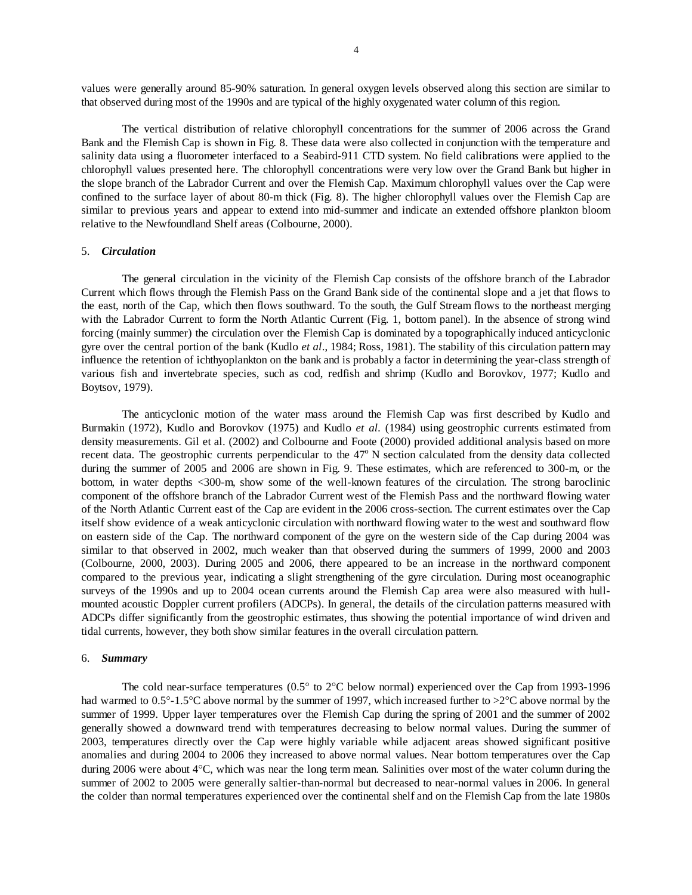values were generally around 85-90% saturation. In general oxygen levels observed along this section are similar to that observed during most of the 1990s and are typical of the highly oxygenated water column of this region.

 The vertical distribution of relative chlorophyll concentrations for the summer of 2006 across the Grand Bank and the Flemish Cap is shown in Fig. 8. These data were also collected in conjunction with the temperature and salinity data using a fluorometer interfaced to a Seabird-911 CTD system. No field calibrations were applied to the chlorophyll values presented here. The chlorophyll concentrations were very low over the Grand Bank but higher in the slope branch of the Labrador Current and over the Flemish Cap. Maximum chlorophyll values over the Cap were confined to the surface layer of about 80-m thick (Fig. 8). The higher chlorophyll values over the Flemish Cap are similar to previous years and appear to extend into mid-summer and indicate an extended offshore plankton bloom relative to the Newfoundland Shelf areas (Colbourne, 2000).

# 5. *Circulation*

 The general circulation in the vicinity of the Flemish Cap consists of the offshore branch of the Labrador Current which flows through the Flemish Pass on the Grand Bank side of the continental slope and a jet that flows to the east, north of the Cap, which then flows southward. To the south, the Gulf Stream flows to the northeast merging with the Labrador Current to form the North Atlantic Current (Fig. 1, bottom panel). In the absence of strong wind forcing (mainly summer) the circulation over the Flemish Cap is dominated by a topographically induced anticyclonic gyre over the central portion of the bank (Kudlo *et al*., 1984; Ross, 1981). The stability of this circulation pattern may influence the retention of ichthyoplankton on the bank and is probably a factor in determining the year-class strength of various fish and invertebrate species, such as cod, redfish and shrimp (Kudlo and Borovkov, 1977; Kudlo and Boytsov, 1979).

 The anticyclonic motion of the water mass around the Flemish Cap was first described by Kudlo and Burmakin (1972), Kudlo and Borovkov (1975) and Kudlo *et al.* (1984) using geostrophic currents estimated from density measurements. Gil et al. (2002) and Colbourne and Foote (2000) provided additional analysis based on more recent data. The geostrophic currents perpendicular to the 47<sup>°</sup> N section calculated from the density data collected during the summer of 2005 and 2006 are shown in Fig. 9. These estimates, which are referenced to 300-m, or the bottom, in water depths <300-m, show some of the well-known features of the circulation. The strong baroclinic component of the offshore branch of the Labrador Current west of the Flemish Pass and the northward flowing water of the North Atlantic Current east of the Cap are evident in the 2006 cross-section. The current estimates over the Cap itself show evidence of a weak anticyclonic circulation with northward flowing water to the west and southward flow on eastern side of the Cap. The northward component of the gyre on the western side of the Cap during 2004 was similar to that observed in 2002, much weaker than that observed during the summers of 1999, 2000 and 2003 (Colbourne, 2000, 2003). During 2005 and 2006, there appeared to be an increase in the northward component compared to the previous year, indicating a slight strengthening of the gyre circulation. During most oceanographic surveys of the 1990s and up to 2004 ocean currents around the Flemish Cap area were also measured with hullmounted acoustic Doppler current profilers (ADCPs). In general, the details of the circulation patterns measured with ADCPs differ significantly from the geostrophic estimates, thus showing the potential importance of wind driven and tidal currents, however, they both show similar features in the overall circulation pattern.

## 6. *Summary*

 The cold near-surface temperatures (0.5° to 2°C below normal) experienced over the Cap from 1993-1996 had warmed to 0.5°-1.5°C above normal by the summer of 1997, which increased further to >2°C above normal by the summer of 1999. Upper layer temperatures over the Flemish Cap during the spring of 2001 and the summer of 2002 generally showed a downward trend with temperatures decreasing to below normal values. During the summer of 2003, temperatures directly over the Cap were highly variable while adjacent areas showed significant positive anomalies and during 2004 to 2006 they increased to above normal values. Near bottom temperatures over the Cap during 2006 were about 4°C, which was near the long term mean. Salinities over most of the water column during the summer of 2002 to 2005 were generally saltier-than-normal but decreased to near-normal values in 2006. In general the colder than normal temperatures experienced over the continental shelf and on the Flemish Cap from the late 1980s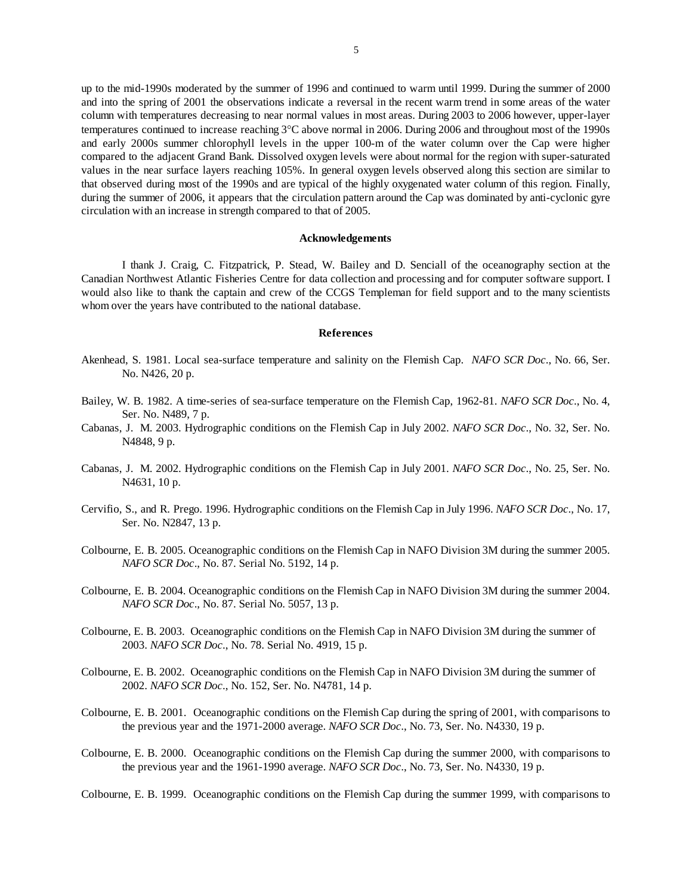up to the mid-1990s moderated by the summer of 1996 and continued to warm until 1999. During the summer of 2000 and into the spring of 2001 the observations indicate a reversal in the recent warm trend in some areas of the water column with temperatures decreasing to near normal values in most areas. During 2003 to 2006 however, upper-layer temperatures continued to increase reaching 3°C above normal in 2006. During 2006 and throughout most of the 1990s and early 2000s summer chlorophyll levels in the upper 100-m of the water column over the Cap were higher compared to the adjacent Grand Bank. Dissolved oxygen levels were about normal for the region with super-saturated values in the near surface layers reaching 105%. In general oxygen levels observed along this section are similar to that observed during most of the 1990s and are typical of the highly oxygenated water column of this region. Finally, during the summer of 2006, it appears that the circulation pattern around the Cap was dominated by anti-cyclonic gyre circulation with an increase in strength compared to that of 2005.

### **Acknowledgements**

 I thank J. Craig, C. Fitzpatrick, P. Stead, W. Bailey and D. Senciall of the oceanography section at the Canadian Northwest Atlantic Fisheries Centre for data collection and processing and for computer software support. I would also like to thank the captain and crew of the CCGS Templeman for field support and to the many scientists whom over the years have contributed to the national database.

#### **References**

- Akenhead, S. 1981. Local sea-surface temperature and salinity on the Flemish Cap. *NAFO SCR Doc*., No. 66, Ser. No. N426, 20 p.
- Bailey, W. B. 1982. A time-series of sea-surface temperature on the Flemish Cap, 1962-81. *NAFO SCR Doc*., No. 4, Ser. No. N489, 7 p.
- Cabanas, J. M. 2003. Hydrographic conditions on the Flemish Cap in July 2002. *NAFO SCR Doc*., No. 32, Ser. No. N4848, 9 p.
- Cabanas, J. M. 2002. Hydrographic conditions on the Flemish Cap in July 2001. *NAFO SCR Doc*., No. 25, Ser. No. N4631, 10 p.
- Cervifio, S., and R. Prego. 1996. Hydrographic conditions on the Flemish Cap in July 1996. *NAFO SCR Doc*., No. 17, Ser. No. N2847, 13 p.
- Colbourne, E. B. 2005. Oceanographic conditions on the Flemish Cap in NAFO Division 3M during the summer 2005. *NAFO SCR Doc*., No. 87. Serial No. 5192, 14 p.
- Colbourne, E. B. 2004. Oceanographic conditions on the Flemish Cap in NAFO Division 3M during the summer 2004. *NAFO SCR Doc*., No. 87. Serial No. 5057, 13 p.
- Colbourne, E. B. 2003. Oceanographic conditions on the Flemish Cap in NAFO Division 3M during the summer of 2003. *NAFO SCR Doc*., No. 78. Serial No. 4919, 15 p.
- Colbourne, E. B. 2002. Oceanographic conditions on the Flemish Cap in NAFO Division 3M during the summer of 2002. *NAFO SCR Doc*., No. 152, Ser. No. N4781, 14 p.
- Colbourne, E. B. 2001. Oceanographic conditions on the Flemish Cap during the spring of 2001, with comparisons to the previous year and the 1971-2000 average. *NAFO SCR Doc*., No. 73, Ser. No. N4330, 19 p.
- Colbourne, E. B. 2000. Oceanographic conditions on the Flemish Cap during the summer 2000, with comparisons to the previous year and the 1961-1990 average. *NAFO SCR Doc*., No. 73, Ser. No. N4330, 19 p.

Colbourne, E. B. 1999. Oceanographic conditions on the Flemish Cap during the summer 1999, with comparisons to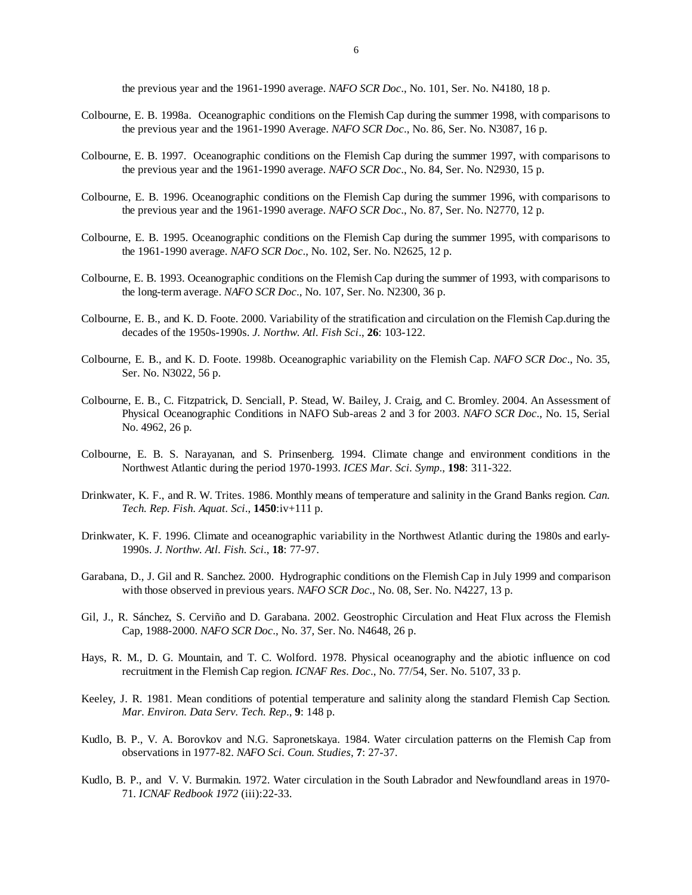the previous year and the 1961-1990 average. *NAFO SCR Doc*., No. 101, Ser. No. N4180, 18 p.

- Colbourne, E. B. 1998a. Oceanographic conditions on the Flemish Cap during the summer 1998, with comparisons to the previous year and the 1961-1990 Average. *NAFO SCR Doc*., No. 86, Ser. No. N3087, 16 p.
- Colbourne, E. B. 1997. Oceanographic conditions on the Flemish Cap during the summer 1997, with comparisons to the previous year and the 1961-1990 average. *NAFO SCR Doc*., No. 84, Ser. No. N2930, 15 p.
- Colbourne, E. B. 1996. Oceanographic conditions on the Flemish Cap during the summer 1996, with comparisons to the previous year and the 1961-1990 average. *NAFO SCR Doc*., No. 87, Ser. No. N2770, 12 p.
- Colbourne, E. B. 1995. Oceanographic conditions on the Flemish Cap during the summer 1995, with comparisons to the 1961-1990 average. *NAFO SCR Doc*., No. 102, Ser. No. N2625, 12 p.
- Colbourne, E. B. 1993. Oceanographic conditions on the Flemish Cap during the summer of 1993, with comparisons to the long-term average. *NAFO SCR Doc*., No. 107, Ser. No. N2300, 36 p.
- Colbourne, E. B., and K. D. Foote. 2000. Variability of the stratification and circulation on the Flemish Cap.during the decades of the 1950s-1990s. *J. Northw. Atl. Fish Sci*., **26**: 103-122.
- Colbourne, E. B., and K. D. Foote. 1998b. Oceanographic variability on the Flemish Cap. *NAFO SCR Doc*., No. 35, Ser. No. N3022, 56 p.
- Colbourne, E. B., C. Fitzpatrick, D. Senciall, P. Stead, W. Bailey, J. Craig, and C. Bromley. 2004. An Assessment of Physical Oceanographic Conditions in NAFO Sub-areas 2 and 3 for 2003. *NAFO SCR Doc*., No. 15, Serial No. 4962, 26 p.
- Colbourne, E. B. S. Narayanan, and S. Prinsenberg. 1994. Climate change and environment conditions in the Northwest Atlantic during the period 1970-1993. *ICES Mar. Sci. Symp*., **198**: 311-322.
- Drinkwater, K. F., and R. W. Trites. 1986. Monthly means of temperature and salinity in the Grand Banks region. *Can. Tech. Rep. Fish. Aquat. Sci*., **1450**:iv+111 p.
- Drinkwater, K. F. 1996. Climate and oceanographic variability in the Northwest Atlantic during the 1980s and early-1990s. *J. Northw. Atl. Fish. Sci*., **18**: 77-97.
- Garabana, D., J. Gil and R. Sanchez. 2000. Hydrographic conditions on the Flemish Cap in July 1999 and comparison with those observed in previous years. *NAFO SCR Doc*., No. 08, Ser. No. N4227, 13 p.
- Gil, J., R. Sánchez, S. Cerviño and D. Garabana. 2002. Geostrophic Circulation and Heat Flux across the Flemish Cap, 1988-2000. *NAFO SCR Doc*., No. 37, Ser. No. N4648, 26 p.
- Hays, R. M., D. G. Mountain, and T. C. Wolford. 1978. Physical oceanography and the abiotic influence on cod recruitment in the Flemish Cap region. *ICNAF Res. Doc*., No. 77/54, Ser. No. 5107, 33 p.
- Keeley, J. R. 1981. Mean conditions of potential temperature and salinity along the standard Flemish Cap Section. *Mar. Environ. Data Serv. Tech. Rep*., **9**: 148 p.
- Kudlo, B. P., V. A. Borovkov and N.G. Sapronetskaya. 1984. Water circulation patterns on the Flemish Cap from observations in 1977-82. *NAFO Sci. Coun. Studies*, **7**: 27-37.
- Kudlo, B. P., and V. V. Burmakin. 1972. Water circulation in the South Labrador and Newfoundland areas in 1970- 71. *ICNAF Redbook 1972* (iii):22-33.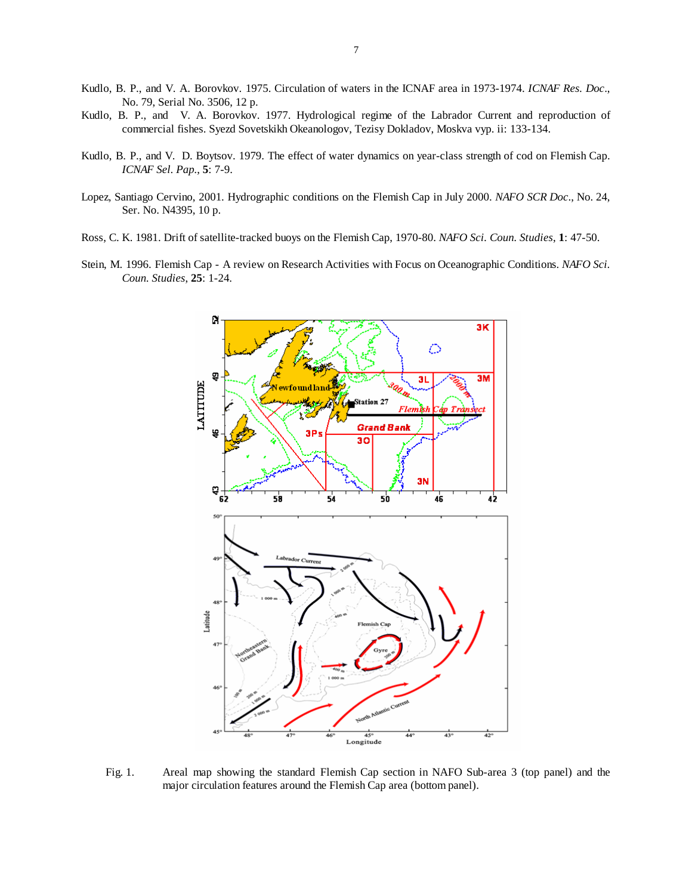- Kudlo, B. P., and V. A. Borovkov. 1975. Circulation of waters in the ICNAF area in 1973-1974. *ICNAF Res. Doc*., No. 79, Serial No. 3506, 12 p.
- Kudlo, B. P., and V. A. Borovkov. 1977. Hydrological regime of the Labrador Current and reproduction of commercial fishes. Syezd Sovetskikh Okeanologov, Tezisy Dokladov, Moskva vyp. ii: 133-134.
- Kudlo, B. P., and V. D. Boytsov. 1979. The effect of water dynamics on year-class strength of cod on Flemish Cap. *ICNAF Sel. Pap.*, **5**: 7-9.
- Lopez, Santiago Cervino, 2001. Hydrographic conditions on the Flemish Cap in July 2000. *NAFO SCR Doc*., No. 24, Ser. No. N4395, 10 p.
- Ross, C. K. 1981. Drift of satellite-tracked buoys on the Flemish Cap, 1970-80. *NAFO Sci. Coun. Studies*, **1**: 47-50.
- Stein, M. 1996. Flemish Cap A review on Research Activities with Focus on Oceanographic Conditions. *NAFO Sci. Coun. Studies*, **25**: 1-24.



Fig. 1. Areal map showing the standard Flemish Cap section in NAFO Sub-area 3 (top panel) and the major circulation features around the Flemish Cap area (bottom panel).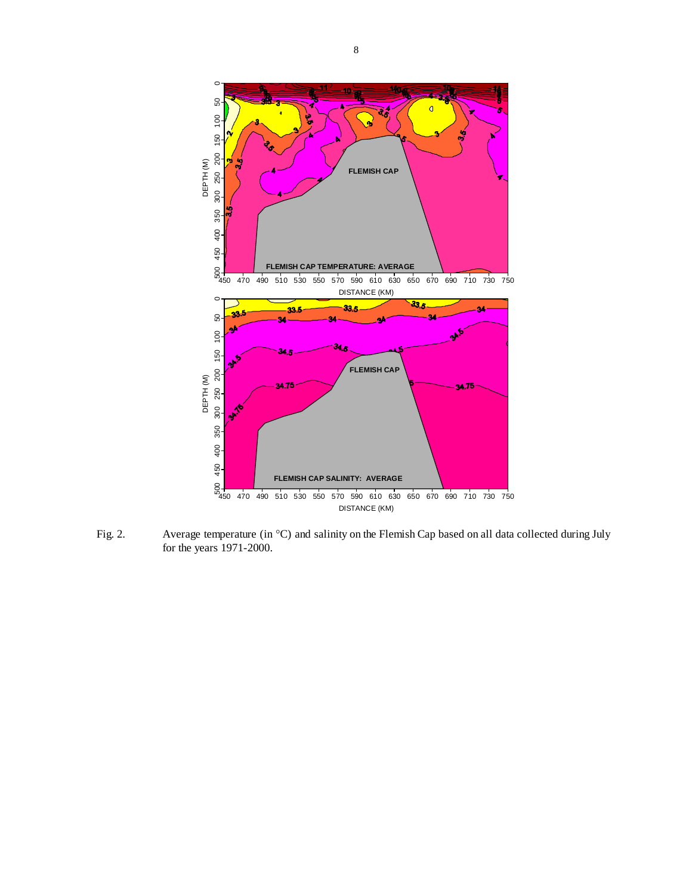

Fig. 2. Average temperature (in °C) and salinity on the Flemish Cap based on all data collected during July for the years 1971-2000.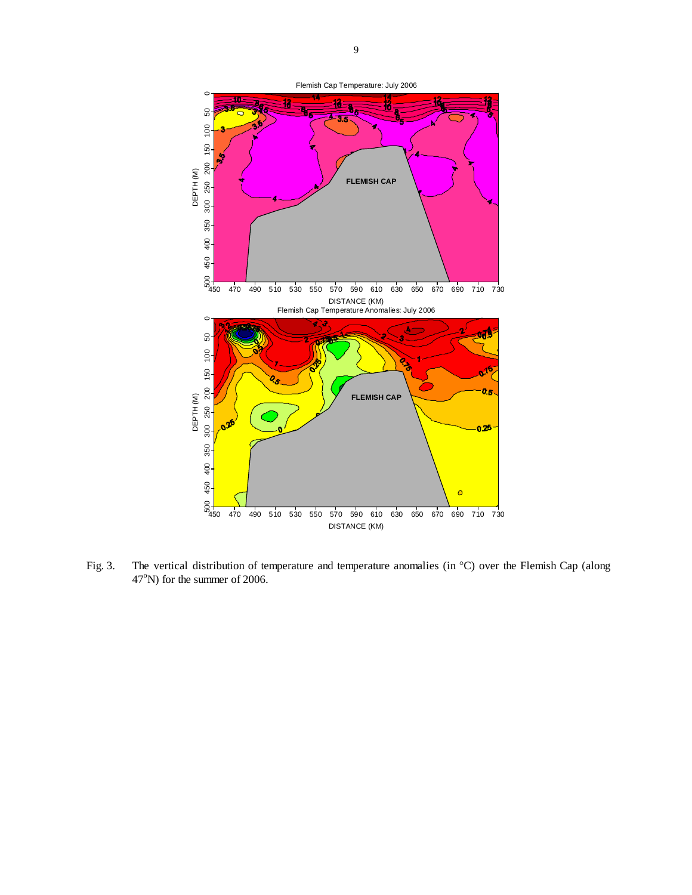

Fig. 3. The vertical distribution of temperature and temperature anomalies (in °C) over the Flemish Cap (along  $47^{\circ}$ N) for the summer of 2006.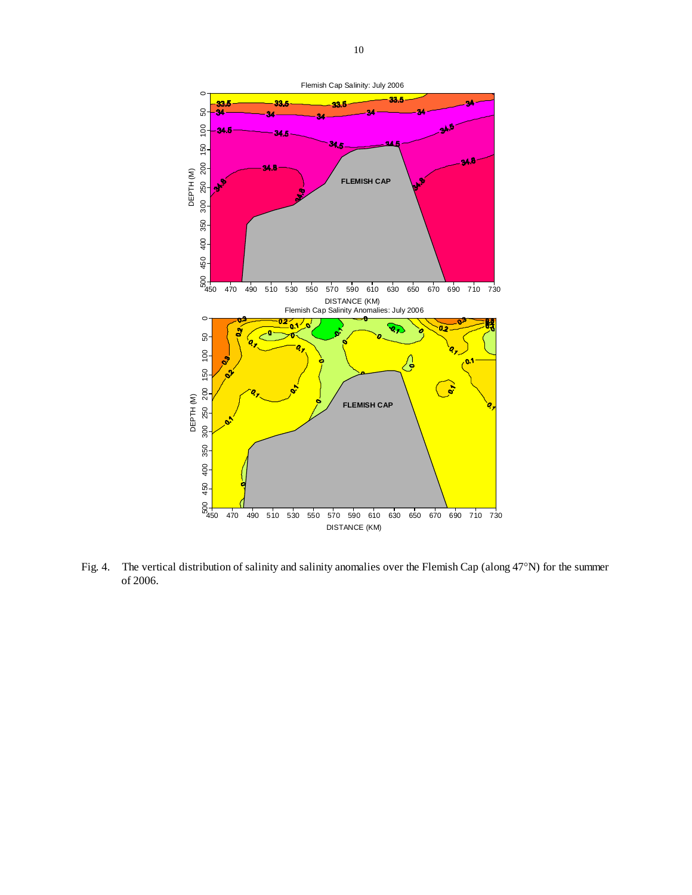

Fig. 4. The vertical distribution of salinity and salinity anomalies over the Flemish Cap (along 47°N) for the summer of 2006.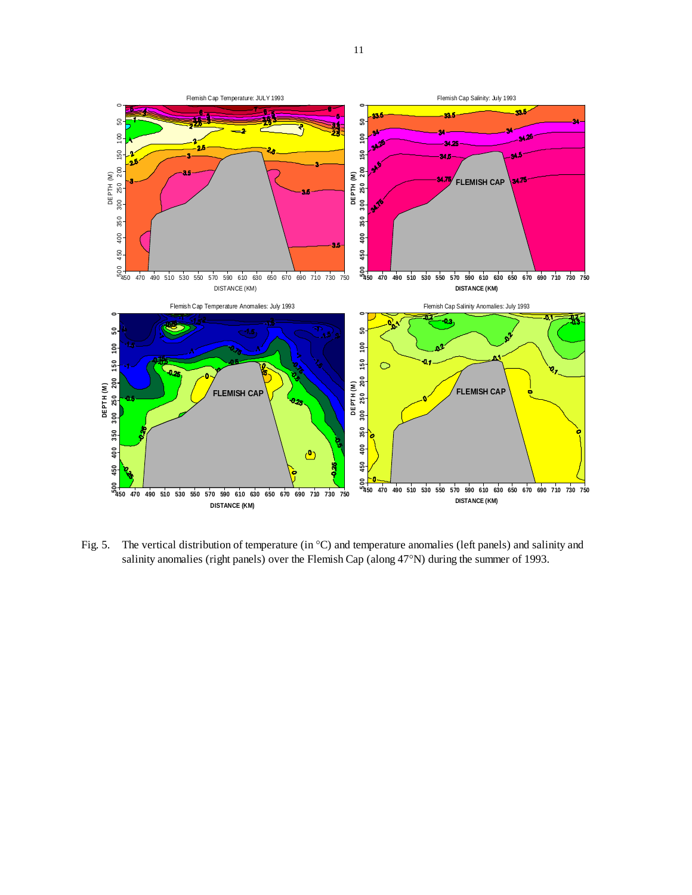

Fig. 5. The vertical distribution of temperature (in <sup>o</sup>C) and temperature anomalies (left panels) and salinity and salinity anomalies (right panels) over the Flemish Cap (along 47°N) during the summer of 1993.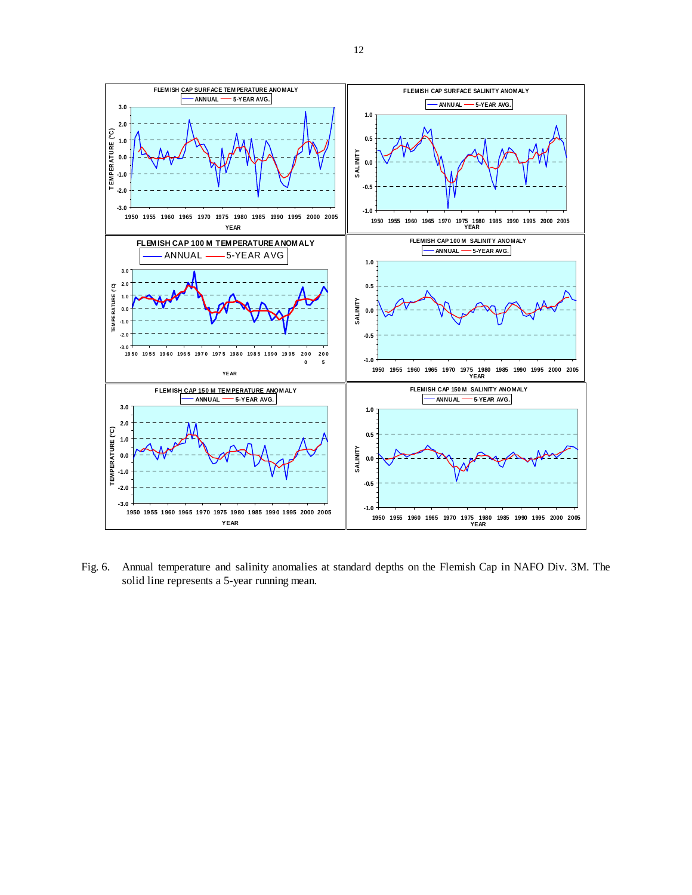

Fig. 6. Annual temperature and salinity anomalies at standard depths on the Flemish Cap in NAFO Div. 3M. The solid line represents a 5-year running mean.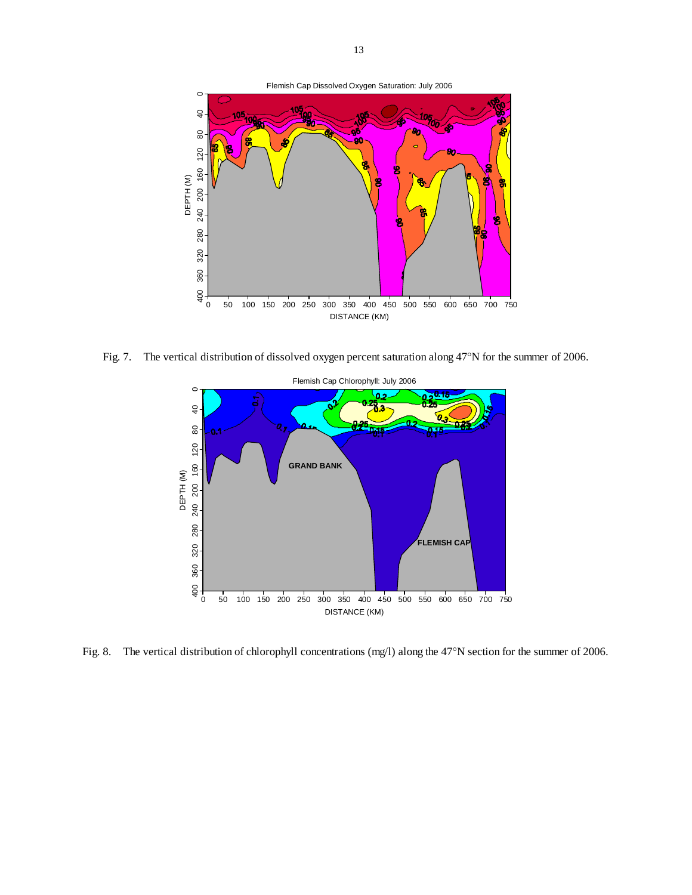

Fig. 7. The vertical distribution of dissolved oxygen percent saturation along 47°N for the summer of 2006.



Fig. 8. The vertical distribution of chlorophyll concentrations (mg/l) along the 47°N section for the summer of 2006.